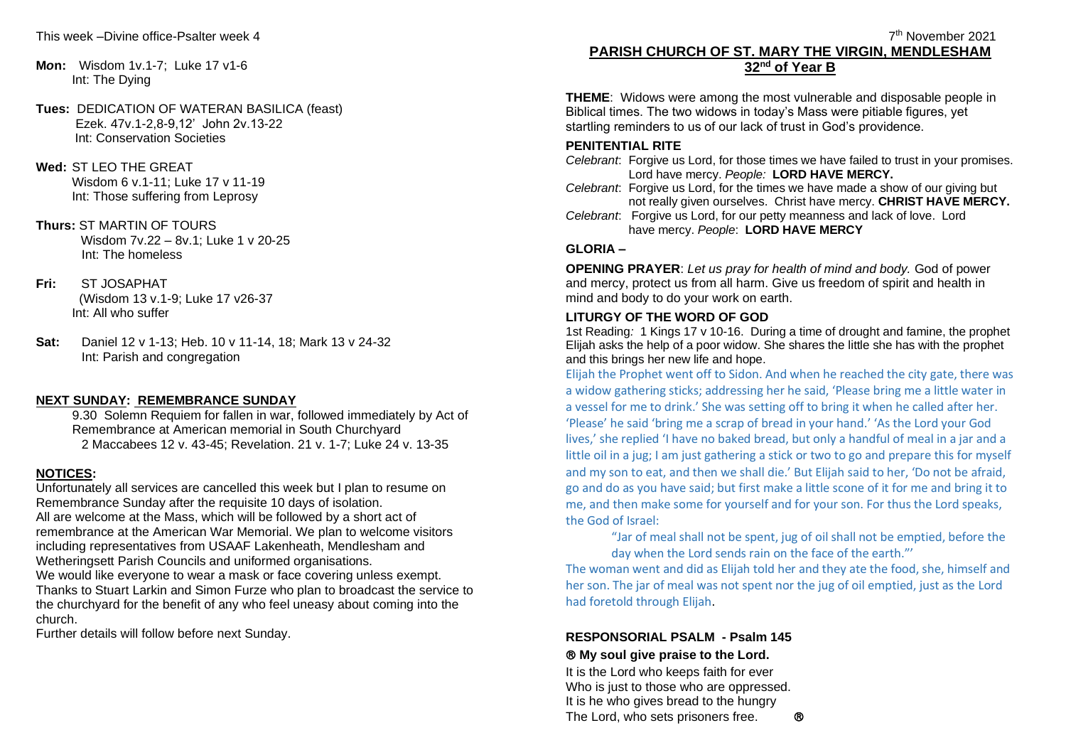- **M***o***n:** Wisdom 1v.1-7; Luke 17 v1-6 Int: The Dying
- **Tues:** DEDICATION OF WATERAN BASILICA (feast) Ezek. 47v.1-2,8-9,12' John 2v.13-22 Int: Conservation Societies

#### **Wed:** ST LEO THE GREAT Wisdom 6 v.1-11; Luke 17 v 11-19

Int: Those suffering from Leprosy

- **Thurs:** ST MARTIN OF TOURS Wisdom 7v.22 – 8v.1; Luke 1 v 20-25 Int: The homeless
- **Fri:** ST JOSAPHAT (Wisdom 13 v.1-9; Luke 17 v26-37 Int: All who suffer
- **Sat:** Daniel 12 v 1-13; Heb. 10 v 11-14, 18; Mark 13 v 24-32 Int: Parish and congregation

## **NEXT SUNDAY: REMEMBRANCE SUNDAY**

9.30 Solemn Requiem for fallen in war, followed immediately by Act of Remembrance at American memorial in South Churchyard 2 Maccabees 12 v. 43-45; Revelation. 21 v. 1-7; Luke 24 v. 13-35

# **NOTICES:**

Unfortunately all services are cancelled this week but I plan to resume on Remembrance Sunday after the requisite 10 days of isolation. All are welcome at the Mass, which will be followed by a short act of remembrance at the American War Memorial. We plan to welcome visitors including representatives from USAAF Lakenheath, Mendlesham and Wetheringsett Parish Councils and uniformed organisations. We would like everyone to wear a mask or face covering unless exempt. Thanks to Stuart Larkin and Simon Furze who plan to broadcast the service to the churchyard for the benefit of any who feel uneasy about coming into the church.

Further details will follow before next Sunday.

#### 7 7<sup>th</sup> November 2021 **PARISH CHURCH OF ST. MARY THE VIRGIN, MENDLESHAM 32nd of Year B**

**THEME**: Widows were among the most vulnerable and disposable people in Biblical times. The two widows in today's Mass were pitiable figures, yet startling reminders to us of our lack of trust in God's providence.

## **PENITENTIAL RITE**

*Celebrant*: Forgive us Lord, for those times we have failed to trust in your promises. Lord have mercy. *People:* **LORD HAVE MERCY.**

*Celebrant*: Forgive us Lord, for the times we have made a show of our giving but not really given ourselves. Christ have mercy. **CHRIST HAVE MERCY.**

*Celebrant*: Forgive us Lord, for our petty meanness and lack of love. Lord have mercy. *People*: **LORD HAVE MERCY**

## **GLORIA –**

**OPENING PRAYER**: *Let us pray for health of mind and body.* God of power and mercy, protect us from all harm. Give us freedom of spirit and health in mind and body to do your work on earth.

# **LITURGY OF THE WORD OF GOD**

1st Reading*:* 1 Kings 17 v 10-16. During a time of drought and famine, the prophet Elijah asks the help of a poor widow. She shares the little she has with the prophet and this brings her new life and hope.

Elijah the Prophet went off to Sidon. And when he reached the city gate, there was a widow gathering sticks; addressing her he said, 'Please bring me a little water in a vessel for me to drink.' She was setting off to bring it when he called after her. 'Please' he said 'bring me a scrap of bread in your hand.' 'As the Lord your God lives,' she replied 'I have no baked bread, but only a handful of meal in a jar and a little oil in a jug; I am just gathering a stick or two to go and prepare this for myself and my son to eat, and then we shall die.' But Elijah said to her, 'Do not be afraid, go and do as you have said; but first make a little scone of it for me and bring it to me, and then make some for yourself and for your son. For thus the Lord speaks, the God of Israel:

"Jar of meal shall not be spent, jug of oil shall not be emptied, before the day when the Lord sends rain on the face of the earth."'

The woman went and did as Elijah told her and they ate the food, she, himself and her son. The jar of meal was not spent nor the jug of oil emptied, just as the Lord had foretold through Elijah.

# **RESPONSORIAL PSALM - Psalm 145 My soul give praise to the Lord.**

It is the Lord who keeps faith for ever Who is just to those who are oppressed. It is he who gives bread to the hungry The Lord, who sets prisoners free.  $\otimes$